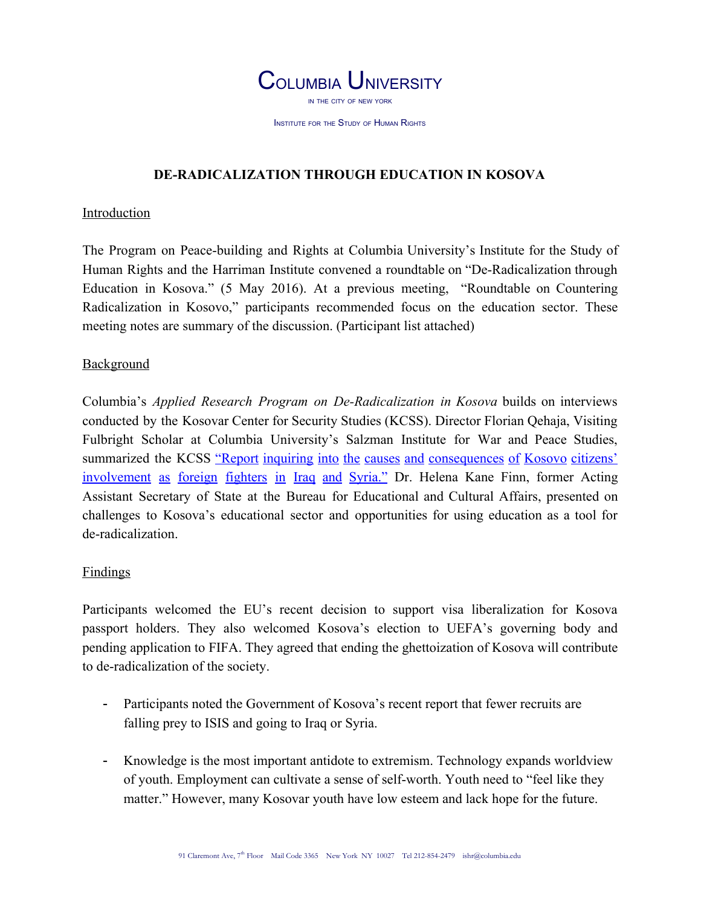

INSTITUTE FOR THE STUDY OF HUMAN RIGHTS

## **DE-RADICALIZATION THROUGH EDUCATION IN KOSOVA**

#### Introduction

The Program on Peace-building and Rights at Columbia University's Institute for the Study of Human Rights and the Harriman Institute convened a roundtable on "De-Radicalization through Education in Kosova." (5 May 2016). At a previous meeting, "Roundtable on Countering Radicalization in Kosovo," participants recommended focus on the education sector. These meeting notes are summary of the discussion. (Participant list attached)

### **Background**

Columbia's *Applied Research Program on De-Radicalization in Kosova* builds on interviews conducted by the Kosovar Center for Security Studies (KCSS). Director Florian Qehaja, Visiting Fulbright Scholar at Columbia University's Salzman Institute for War and Peace Studies, summarized the KCSS "Report inquiring into the causes and [consequences](http://www.qkss.org/en/Occasional-Papers/Report-inquiring-into-the-causes-and-consequences-of-Kosovo-citizens-involvement-as-foreign-fighters-in-Syria-and-Iraq-408) of Kosovo citizens' [involvement](http://www.qkss.org/en/Occasional-Papers/Report-inquiring-into-the-causes-and-consequences-of-Kosovo-citizens-involvement-as-foreign-fighters-in-Syria-and-Iraq-408) as foreign fighters in Iraq and Syria." Dr. Helena Kane Finn, former Acting Assistant Secretary of State at the Bureau for Educational and Cultural Affairs, presented on challenges to Kosova's educational sector and opportunities for using education as a tool for de-radicalization.

### **Findings**

Participants welcomed the EU's recent decision to support visa liberalization for Kosova passport holders. They also welcomed Kosova's election to UEFA's governing body and pending application to FIFA. They agreed that ending the ghettoization of Kosova will contribute to de-radicalization of the society.

- Participants noted the Government of Kosova's recent report that fewer recruits are falling prey to ISIS and going to Iraq or Syria.
- Knowledge is the most important antidote to extremism. Technology expands worldview of youth. Employment can cultivate a sense of self-worth. Youth need to "feel like they matter." However, many Kosovar youth have low esteem and lack hope for the future.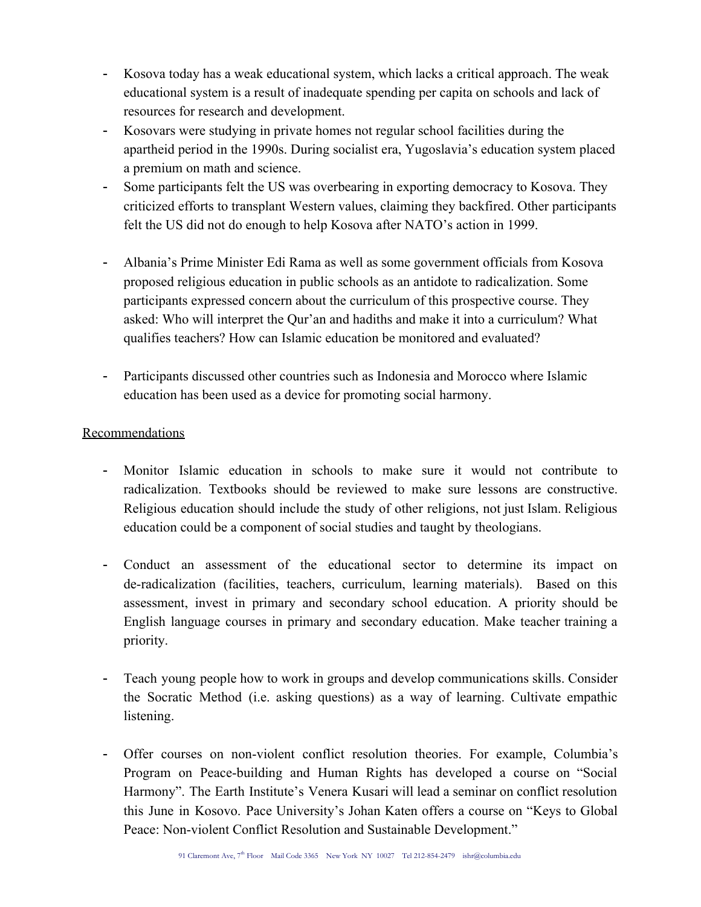- Kosova today has a weak educational system, which lacks a critical approach. The weak educational system is a result of inadequate spending per capita on schools and lack of resources for research and development.
- Kosovars were studying in private homes not regular school facilities during the apartheid period in the 1990s. During socialist era, Yugoslavia's education system placed a premium on math and science.
- Some participants felt the US was overbearing in exporting democracy to Kosova. They criticized efforts to transplant Western values, claiming they backfired. Other participants felt the US did not do enough to help Kosova after NATO's action in 1999.
- Albania's Prime Minister Edi Rama as well as some government officials from Kosova proposed religious education in public schools as an antidote to radicalization. Some participants expressed concern about the curriculum of this prospective course. They asked: Who will interpret the Qur'an and hadiths and make it into a curriculum? What qualifies teachers? How can Islamic education be monitored and evaluated?
- Participants discussed other countries such as Indonesia and Morocco where Islamic education has been used as a device for promoting social harmony.

## Recommendations

- Monitor Islamic education in schools to make sure it would not contribute to radicalization. Textbooks should be reviewed to make sure lessons are constructive. Religious education should include the study of other religions, not just Islam. Religious education could be a component of social studies and taught by theologians.
- Conduct an assessment of the educational sector to determine its impact on de-radicalization (facilities, teachers, curriculum, learning materials). Based on this assessment, invest in primary and secondary school education. A priority should be English language courses in primary and secondary education. Make teacher training a priority.
- Teach young people how to work in groups and develop communications skills. Consider the Socratic Method (i.e. asking questions) as a way of learning. Cultivate empathic listening.
- Offer courses on non-violent conflict resolution theories. For example, Columbia's Program on Peace-building and Human Rights has developed a course on "Social Harmony". The Earth Institute's Venera Kusari will lead a seminar on conflict resolution this June in Kosovo. Pace University's Johan Katen offers a course on "Keys to Global Peace: Non-violent Conflict Resolution and Sustainable Development."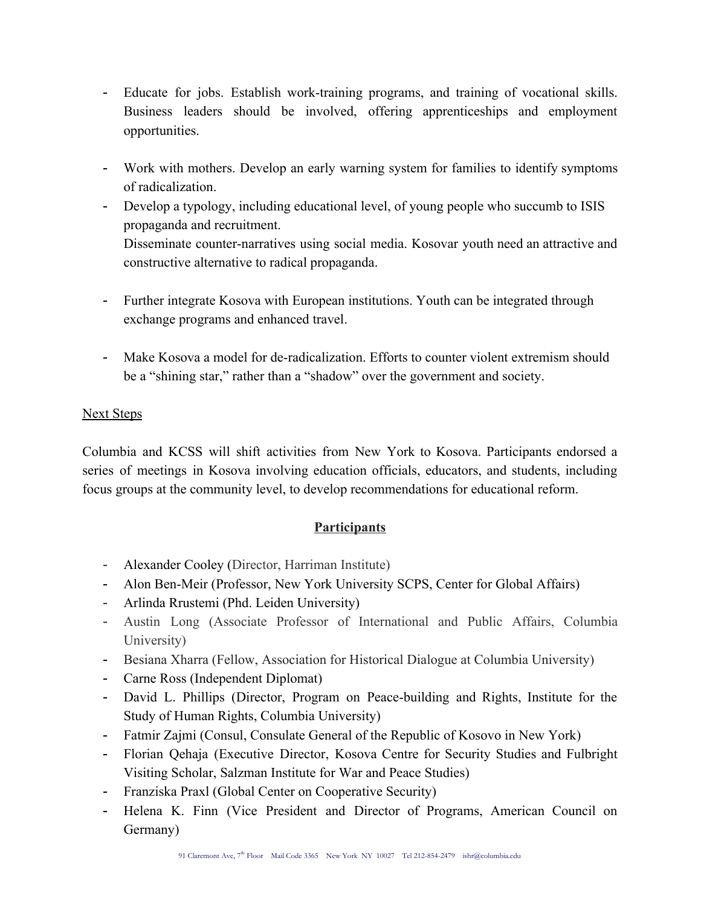- Educate for jobs. Establish work-training programs, and training of vocational skills. Business leaders should be involved, offering apprenticeships and employment opportunities.
- Work with mothers. Develop an early warning system for families to identify symptoms of radicalization.
- Develop a typology, including educational level, of young people who succumb to ISIS propaganda and recruitment.

Disseminate counter-narratives using social media. Kosovar youth need an attractive and constructive alternative to radical propaganda.

- Further integrate Kosova with European institutions. Youth can be integrated through exchange programs and enhanced travel.
- Make Kosova a model for de-radicalization. Efforts to counter violent extremism should be a "shining star," rather than a "shadow" over the government and society.

## Next Steps

Columbia and KCSS will shift activities from New York to Kosova. Participants endorsed a series of meetings in Kosova involving education officials, educators, and students, including focus groups at the community level, to develop recommendations for educational reform.

# **Participants**

- Alexander Cooley (Director, Harriman Institute)
- Alon Ben-Meir (Professor, New York University SCPS, Center for Global Affairs)
- Arlinda Rrustemi (Phd. Leiden University)
- Austin Long (Associate Professor of International and Public Affairs, Columbia University)
- Besiana Xharra (Fellow, Association for Historical Dialogue at Columbia University)
- Carne Ross (Independent Diplomat)
- David L. Phillips (Director, Program on Peace-building and Rights, Institute for the Study of Human Rights, Columbia University)
- Fatmir Zajmi (Consul, Consulate General of the Republic of Kosovo in New York)
- Florian Qehaja (Executive Director, Kosova Centre for Security Studies and Fulbright Visiting Scholar, Salzman Institute for War and Peace Studies)
- Franziska Praxl (Global Center on Cooperative Security)
- Helena K. Finn (Vice President and Director of Programs, American Council on Germany)